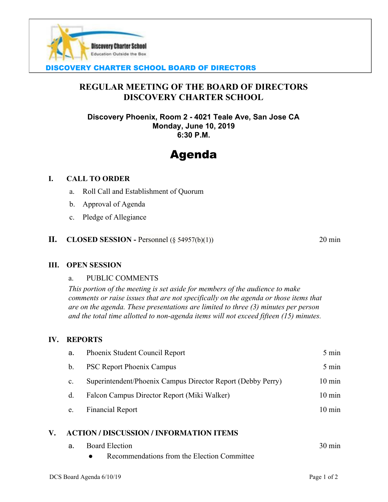

# DISCOVERY CHARTER SCHOOL BOARD OF DIRECTORS

# **REGULAR MEETING OF THE BOARD OF DIRECTORS DISCOVERY CHARTER SCHOOL**

**Discovery Phoenix, Room 2 - 4021 Teale Ave, San Jose CA Monday, June 10, 2019 6:30 P.M.**

# Agenda

#### **I. CALL TO ORDER**

- a. Roll Call and Establishment of Quorum
- b. Approval of Agenda
- c. Pledge of Allegiance

#### **II. CLOSED SESSION** - Personnel  $(\S$  54957(b)(1)) 20 min

#### **III. OPEN SESSION**

#### a. PUBLIC COMMENTS

*This portion of the meeting is set aside for members of the audience to make comments or raise issues that are not specifically on the agenda or those items that are on the agenda. These presentations are limited to three (3) minutes per person and the total time allotted to non-agenda items will not exceed fifteen (15) minutes.*

#### **IV. REPORTS**

|    | a.             | Phoenix Student Council Report                              | $5 \text{ min}$  |
|----|----------------|-------------------------------------------------------------|------------------|
|    | b.             | <b>PSC Report Phoenix Campus</b>                            | $5 \text{ min}$  |
|    | $\mathbf{C}$ . | Superintendent/Phoenix Campus Director Report (Debby Perry) | $10 \text{ min}$ |
|    | d.             | Falcon Campus Director Report (Miki Walker)                 | $10 \text{ min}$ |
|    | e.             | <b>Financial Report</b>                                     | $10 \text{ min}$ |
| V. |                | <b>ACTION / DISCUSSION / INFORMATION ITEMS</b>              |                  |
|    | a.             | <b>Board Election</b>                                       | $30 \text{ min}$ |

Recommendations from the Election Committee